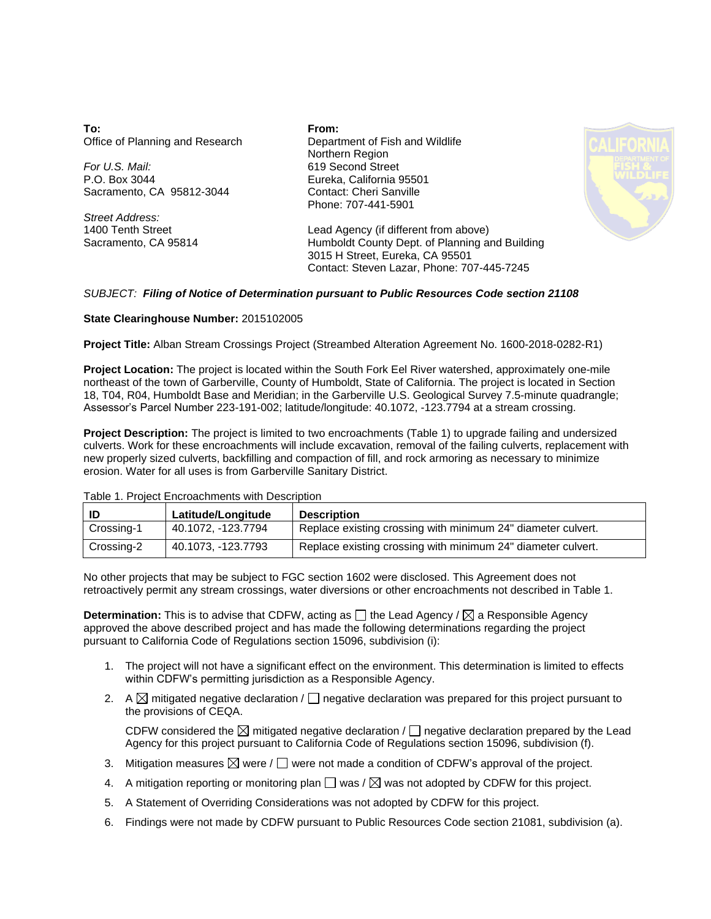**To:** Office of Planning and Research

*For U.S. Mail:* P.O. Box 3044 Sacramento, CA 95812-3044

*Street Address:* 1400 Tenth Street Sacramento, CA 95814 **From:** Department of Fish and Wildlife Northern Region 619 Second Street Eureka, California 95501 Contact: Cheri Sanville Phone: 707-441-5901



Lead Agency (if different from above) Humboldt County Dept. of Planning and Building 3015 H Street, Eureka, CA 95501 Contact: Steven Lazar, Phone: 707-445-7245

## *SUBJECT: Filing of Notice of Determination pursuant to Public Resources Code section 21108*

## **State Clearinghouse Number:** 2015102005

**Project Title:** Alban Stream Crossings Project (Streambed Alteration Agreement No. 1600-2018-0282-R1)

**Project Location:** The project is located within the South Fork Eel River watershed, approximately one-mile northeast of the town of Garberville, County of Humboldt, State of California. The project is located in Section 18, T04, R04, Humboldt Base and Meridian; in the Garberville U.S. Geological Survey 7.5-minute quadrangle; Assessor's Parcel Number 223-191-002; latitude/longitude: 40.1072, -123.7794 at a stream crossing.

**Project Description:** The project is limited to two encroachments (Table 1) to upgrade failing and undersized culverts. Work for these encroachments will include excavation, removal of the failing culverts, replacement with new properly sized culverts, backfilling and compaction of fill, and rock armoring as necessary to minimize erosion. Water for all uses is from Garberville Sanitary District.

| ID         | Latitude/Longitude | <b>Description</b>                                           |
|------------|--------------------|--------------------------------------------------------------|
| Crossing-1 | 40.1072. -123.7794 | Replace existing crossing with minimum 24" diameter culvert. |
| Crossing-2 | 40.1073. -123.7793 | Replace existing crossing with minimum 24" diameter culvert. |

Table 1. Project Encroachments with Description

No other projects that may be subject to FGC section 1602 were disclosed. This Agreement does not retroactively permit any stream crossings, water diversions or other encroachments not described in Table 1.

**Determination:** This is to advise that CDFW, acting as  $\Box$  the Lead Agency /  $\boxtimes$  a Responsible Agency approved the above described project and has made the following determinations regarding the project pursuant to California Code of Regulations section 15096, subdivision (i):

- 1. The project will not have a significant effect on the environment. This determination is limited to effects within CDFW's permitting jurisdiction as a Responsible Agency.
- 2. A  $\boxtimes$  mitigated negative declaration /  $\Box$  negative declaration was prepared for this project pursuant to the provisions of CEQA.

CDFW considered the  $\boxtimes$  mitigated negative declaration /  $\Box$  negative declaration prepared by the Lead Agency for this project pursuant to California Code of Regulations section 15096, subdivision (f).

- 3. Mitigation measures  $\boxtimes$  were /  $\Box$  were not made a condition of CDFW's approval of the project.
- 4. A mitigation reporting or monitoring plan  $\Box$  was /  $\boxtimes$  was not adopted by CDFW for this project.
- 5. A Statement of Overriding Considerations was not adopted by CDFW for this project.
- 6. Findings were not made by CDFW pursuant to Public Resources Code section 21081, subdivision (a).